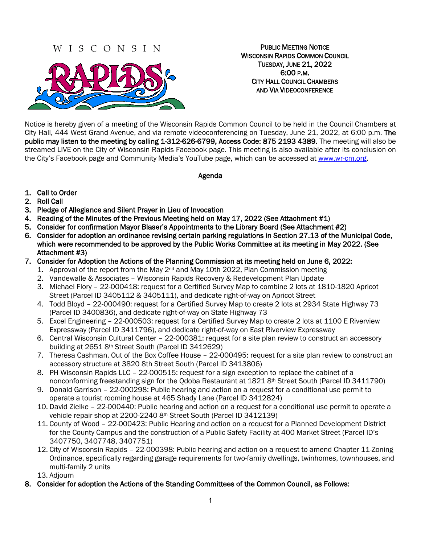# W I S C O N S I N



PUBLIC MEETING NOTICE WISCONSIN RAPIDS COMMON COUNCIL TUESDAY, JUNE 21, 2022 6:00 P.M. CITY HALL COUNCIL CHAMBERS AND VIA VIDEOCONFERENCE

Notice is hereby given of a meeting of the Wisconsin Rapids Common Council to be held in the Council Chambers at City Hall, 444 West Grand Avenue, and via remote videoconferencing on Tuesday, June 21, 2022, at 6:00 p.m. The public may listen to the meeting by calling 1-312-626-6799, Access Code: 875 2193 4389. The meeting will also be streamed LIVE on the City of Wisconsin Rapids Facebook page. This meeting is also available after its conclusion on the City's Facebook page and Community Media's YouTube page, which can be accessed at [www.wr-cm.org.](http://www.wr-cm.org/)

Agenda

- 1. Call to Order
- 2. Roll Call
- 3. Pledge of Allegiance and Silent Prayer in Lieu of Invocation
- 4. Reading of the Minutes of the Previous Meeting held on May 17, 2022 (See Attachment #1)
- 5. Consider for confirmation Mayor Blaser's Appointments to the Library Board (See Attachment #2)
- 6. Consider for adoption an ordinance revising certain parking regulations in Section 27.13 of the Municipal Code, which were recommended to be approved by the Public Works Committee at its meeting in May 2022. (See Attachment #3)
- 7. Consider for Adoption the Actions of the Planning Commission at its meeting held on June 6, 2022:
	- 1. Approval of the report from the May  $2^{nd}$  and May 10th 2022, Plan Commission meeting
	- 2. Vandewalle & Associates Wisconsin Rapids Recovery & Redevelopment Plan Update
	- 3. Michael Flory 22-000418: request for a Certified Survey Map to combine 2 lots at 1810-1820 Apricot Street (Parcel ID 3405112 & 3405111), and dedicate right-of-way on Apricot Street
	- 4. Todd Bloyd 22-000490: request for a Certified Survey Map to create 2 lots at 2934 State Highway 73 (Parcel ID 3400836), and dedicate right-of-way on State Highway 73
	- 5. Excel Engineering 22-000503: request for a Certified Survey Map to create 2 lots at 1100 E Riverview Expressway (Parcel ID 3411796), and dedicate right-of-way on East Riverview Expressway
	- 6. Central Wisconsin Cultural Center 22-000381: request for a site plan review to construct an accessory building at 2651 8th Street South (Parcel ID 3412629)
	- 7. Theresa Cashman, Out of the Box Coffee House 22-000495: request for a site plan review to construct an accessory structure at 3820 8th Street South (Parcel ID 3413806)
	- 8. PH Wisconsin Rapids LLC 22-000515: request for a sign exception to replace the cabinet of a nonconforming freestanding sign for the Qdoba Restaurant at 1821 8th Street South (Parcel ID 3411790)
	- 9. Donald Garrison 22-000298: Public hearing and action on a request for a conditional use permit to operate a tourist rooming house at 465 Shady Lane (Parcel ID 3412824)
	- 10. David Zielke 22-000440: Public hearing and action on a request for a conditional use permit to operate a vehicle repair shop at 2200-2240 8th Street South (Parcel ID 3412139)
	- 11. County of Wood 22-000423: Public Hearing and action on a request for a Planned Development District for the County Campus and the construction of a Public Safety Facility at 400 Market Street (Parcel ID's 3407750, 3407748, 3407751)
	- 12. City of Wisconsin Rapids 22-000398: Public hearing and action on a request to amend Chapter 11-Zoning Ordinance, specifically regarding garage requirements for two-family dwellings, twinhomes, townhouses, and multi-family 2 units
	- 13. Adjourn
- 8. Consider for adoption the Actions of the Standing Committees of the Common Council, as Follows: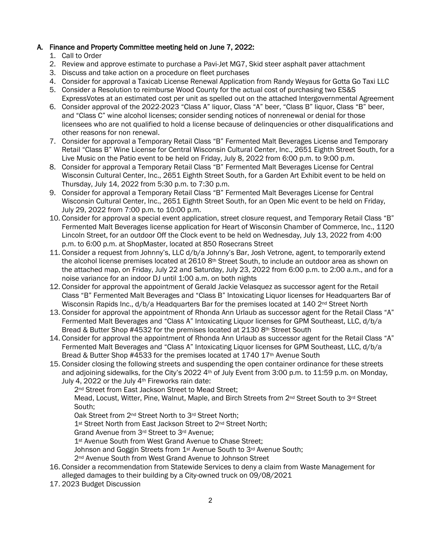#### A. Finance and Property Committee meeting held on June 7, 2022:

- 1. Call to Order
- 2. Review and approve estimate to purchase a Pavi-Jet MG7, Skid steer asphalt paver attachment
- 3. Discuss and take action on a procedure on fleet purchases
- 4. Consider for approval a Taxicab License Renewal Application from Randy Weyaus for Gotta Go Taxi LLC
- 5. Consider a Resolution to reimburse Wood County for the actual cost of purchasing two ES&S ExpressVotes at an estimated cost per unit as spelled out on the attached Intergovernmental Agreement
- 6. Consider approval of the 2022-2023 "Class A" liquor, Class "A" beer, "Class B" liquor, Class "B" beer, and "Class C" wine alcohol licenses; consider sending notices of nonrenewal or denial for those licensees who are not qualified to hold a license because of delinquencies or other disqualifications and other reasons for non renewal.
- 7. Consider for approval a Temporary Retail Class "B" Fermented Malt Beverages License and Temporary Retail "Class B" Wine License for Central Wisconsin Cultural Center, Inc., 2651 Eighth Street South, for a Live Music on the Patio event to be held on Friday, July 8, 2022 from 6:00 p.m. to 9:00 p.m.
- 8. Consider for approval a Temporary Retail Class "B" Fermented Malt Beverages License for Central Wisconsin Cultural Center, Inc., 2651 Eighth Street South, for a Garden Art Exhibit event to be held on Thursday, July 14, 2022 from 5:30 p.m. to 7:30 p.m.
- 9. Consider for approval a Temporary Retail Class "B" Fermented Malt Beverages License for Central Wisconsin Cultural Center, Inc., 2651 Eighth Street South, for an Open Mic event to be held on Friday, July 29, 2022 from 7:00 p.m. to 10:00 p.m.
- 10. Consider for approval a special event application, street closure request, and Temporary Retail Class "B" Fermented Malt Beverages license application for Heart of Wisconsin Chamber of Commerce, Inc., 1120 Lincoln Street, for an outdoor Off the Clock event to be held on Wednesday, July 13, 2022 from 4:00 p.m. to 6:00 p.m. at ShopMaster, located at 850 Rosecrans Street
- 11. Consider a request from Johnny's, LLC d/b/a Johnny's Bar, Josh Vetrone, agent, to temporarily extend the alcohol license premises located at 2610 8th Street South, to include an outdoor area as shown on the attached map, on Friday, July 22 and Saturday, July 23, 2022 from 6:00 p.m. to 2:00 a.m., and for a noise variance for an indoor DJ until 1:00 a.m. on both nights
- 12. Consider for approval the appointment of Gerald Jackie Velasquez as successor agent for the Retail Class "B" Fermented Malt Beverages and "Class B" Intoxicating Liquor licenses for Headquarters Bar of Wisconsin Rapids Inc.,  $d/b/a$  Headquarters Bar for the premises located at 140  $2^{nd}$  Street North
- 13. Consider for approval the appointment of Rhonda Ann Urlaub as successor agent for the Retail Class "A" Fermented Malt Beverages and "Class A" Intoxicating Liquor licenses for GPM Southeast, LLC, d/b/a Bread & Butter Shop #4532 for the premises located at 2130 8th Street South
- 14. Consider for approval the appointment of Rhonda Ann Urlaub as successor agent for the Retail Class "A" Fermented Malt Beverages and "Class A" Intoxicating Liquor licenses for GPM Southeast, LLC, d/b/a Bread & Butter Shop #4533 for the premises located at 1740 17<sup>th</sup> Avenue South
- 15. Consider closing the following streets and suspending the open container ordinance for these streets and adjoining sidewalks, for the City's 2022  $4<sup>th</sup>$  of July Event from 3:00 p.m. to 11:59 p.m. on Monday, July 4, 2022 or the July 4th Fireworks rain date:

2<sup>nd</sup> Street from East Jackson Street to Mead Street;

Mead, Locust, Witter, Pine, Walnut, Maple, and Birch Streets from 2<sup>nd</sup> Street South to 3<sup>rd</sup> Street South;

Oak Street from 2nd Street North to 3rd Street North;

1<sup>st</sup> Street North from East Jackson Street to 2<sup>nd</sup> Street North;

Grand Avenue from 3rd Street to 3rd Avenue;

1<sup>st</sup> Avenue South from West Grand Avenue to Chase Street;

Johnson and Goggin Streets from 1<sup>st</sup> Avenue South to 3<sup>rd</sup> Avenue South;

2<sup>nd</sup> Avenue South from West Grand Avenue to Johnson Street

- 16. Consider a recommendation from Statewide Services to deny a claim from Waste Management for alleged damages to their building by a City-owned truck on 09/08/2021
- 17. 2023 Budget Discussion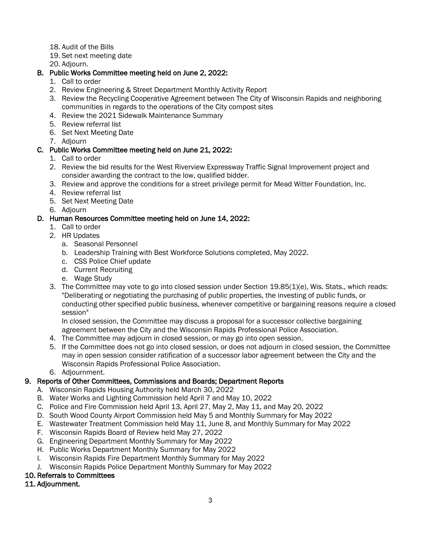- 18. Audit of the Bills
- 19. Set next meeting date

20. Adjourn.

## B. Public Works Committee meeting held on June 2, 2022:

- 1. Call to order
- 2. Review Engineering & Street Department Monthly Activity Report
- 3. Review the Recycling Cooperative Agreement between The City of Wisconsin Rapids and neighboring communities in regards to the operations of the City compost sites
- 4. Review the 2021 Sidewalk Maintenance Summary
- 5. Review referral list
- 6. Set Next Meeting Date
- 7. Adjourn

## C. Public Works Committee meeting held on June 21, 2022:

- 1. Call to order
- 2. Review the bid results for the West Riverview Expressway Traffic Signal Improvement project and consider awarding the contract to the low, qualified bidder.
- 3. Review and approve the conditions for a street privilege permit for Mead Witter Foundation, Inc.
- 4. Review referral list
- 5. Set Next Meeting Date
- 6. Adjourn

## D. Human Resources Committee meeting held on June 14, 2022:

- 1. Call to order
- 2. HR Updates
	- a. Seasonal Personnel
	- b. Leadership Training with Best Workforce Solutions completed, May 2022.
	- c. CSS Police Chief update
	- d. Current Recruiting
	- e. Wage Study
- 3. The Committee may vote to go into closed session under Section 19.85(1)(e), Wis. Stats., which reads: "Deliberating or negotiating the purchasing of public properties, the investing of public funds, or conducting other specified public business, whenever competitive or bargaining reasons require a closed session"

In closed session, the Committee may discuss a proposal for a successor collective bargaining agreement between the City and the Wisconsin Rapids Professional Police Association.

- 4. The Committee may adjourn in closed session, or may go into open session.
- 5. If the Committee does not go into closed session, or does not adjourn in closed session, the Committee may in open session consider ratification of a successor labor agreement between the City and the Wisconsin Rapids Professional Police Association.
- 6. Adjournment.

### 9. Reports of Other Committees, Commissions and Boards; Department Reports

- A. Wisconsin Rapids Housing Authority held March 30, 2022
- B. Water Works and Lighting Commission held April 7 and May 10, 2022
- C. Police and Fire Commission held April 13, April 27, May 2, May 11, and May 20, 2022
- D. South Wood County Airport Commission held May 5 and Monthly Summary for May 2022
- E. Wastewater Treatment Commission held May 11, June 8, and Monthly Summary for May 2022
- F. Wisconsin Rapids Board of Review held May 27, 2022
- G. Engineering Department Monthly Summary for May 2022
- H. Public Works Department Monthly Summary for May 2022
- I. Wisconsin Rapids Fire Department Monthly Summary for May 2022
- J. Wisconsin Rapids Police Department Monthly Summary for May 2022

### 10. Referrals to Committees

# 11. Adjournment.